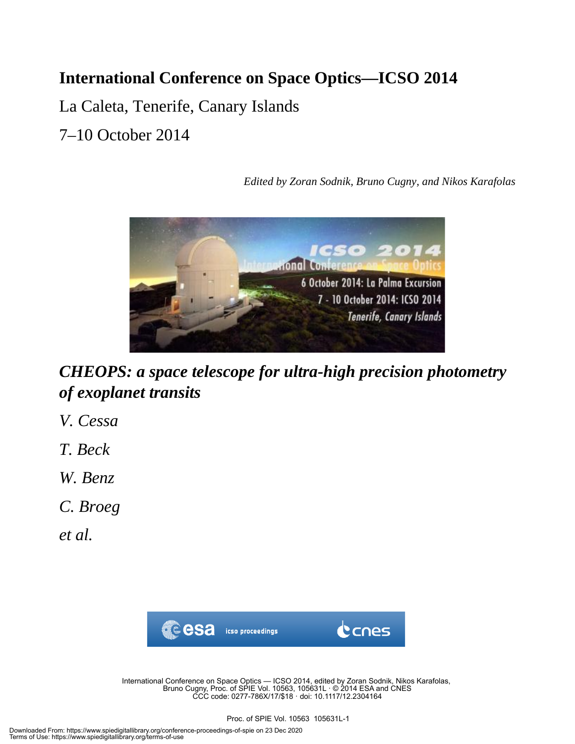# **International Conference on Space Optics—ICSO 2014**

La Caleta, Tenerife, Canary Islands

7–10 October 2014

*Edited by Zoran Sodnik, Bruno Cugny, and Nikos Karafolas*



# *CHEOPS: a space telescope for ultra-high precision photometry of exoplanet transits*

- *V. Cessa*
- *T. Beck*
- *W. Benz*
- *C. Broeg*
- *et al.*



International Conference on Space Optics — ICSO 2014, edited by Zoran Sodnik, Nikos Karafolas, Bruno Cugny, Proc. of SPIE Vol. 10563, 105631L · © 2014 ESA and CNES CCC code: 0277-786X/17/\$18 · doi: 10.1117/12.2304164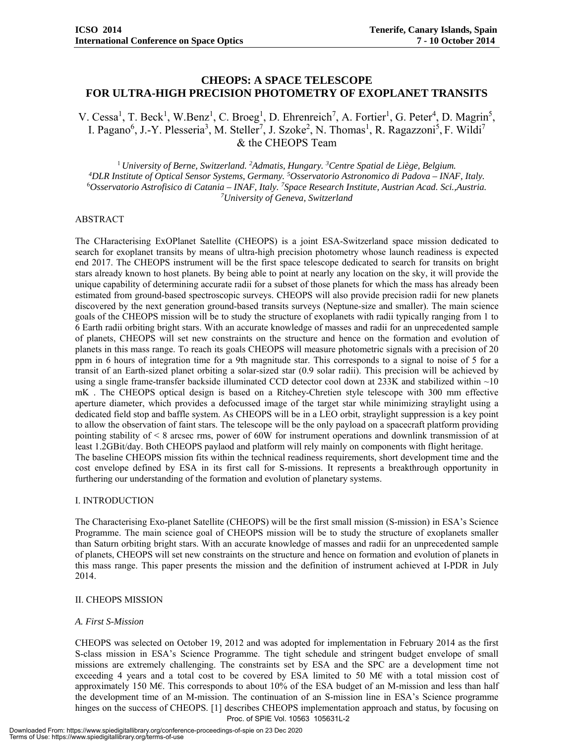## **CHEOPS: A SPACE TELESCOPE FOR ULTRA-HIGH PRECISION PHOTOMETRY OF EXOPLANET TRANSITS**

V. Cessa<sup>1</sup>, T. Beck<sup>1</sup>, W.Benz<sup>1</sup>, C. Broeg<sup>1</sup>, D. Ehrenreich<sup>7</sup>, A. Fortier<sup>1</sup>, G. Peter<sup>4</sup>, D. Magrin<sup>5</sup>, I. Pagano<sup>6</sup>, J.-Y. Plesseria<sup>3</sup>, M. Steller<sup>7</sup>, J. Szoke<sup>2</sup>, N. Thomas<sup>1</sup>, R. Ragazzoni<sup>5</sup>, F. Wildi<sup>7</sup> & the CHEOPS Team

<sup>1</sup>*University of Berne, Switzerland. 2 Admatis, Hungary. 3 Centre Spatial de Liège, Belgium. 4 DLR Institute of Optical Sensor Systems, Germany. 5 Osservatorio Astronomico di Padova – INAF, Italy.* 6 *Osservatorio Astrofisico di Catania – INAF, Italy. 7 Space Research Institute, Austrian Acad. Sci.,Austria. 7 University of Geneva, Switzerland* 

### ABSTRACT

The CHaracterising ExOPlanet Satellite (CHEOPS) is a joint ESA-Switzerland space mission dedicated to search for exoplanet transits by means of ultra-high precision photometry whose launch readiness is expected end 2017. The CHEOPS instrument will be the first space telescope dedicated to search for transits on bright stars already known to host planets. By being able to point at nearly any location on the sky, it will provide the unique capability of determining accurate radii for a subset of those planets for which the mass has already been estimated from ground-based spectroscopic surveys. CHEOPS will also provide precision radii for new planets discovered by the next generation ground-based transits surveys (Neptune-size and smaller). The main science goals of the CHEOPS mission will be to study the structure of exoplanets with radii typically ranging from 1 to 6 Earth radii orbiting bright stars. With an accurate knowledge of masses and radii for an unprecedented sample of planets, CHEOPS will set new constraints on the structure and hence on the formation and evolution of planets in this mass range. To reach its goals CHEOPS will measure photometric signals with a precision of 20 ppm in 6 hours of integration time for a 9th magnitude star. This corresponds to a signal to noise of 5 for a transit of an Earth-sized planet orbiting a solar-sized star (0.9 solar radii). This precision will be achieved by using a single frame-transfer backside illuminated CCD detector cool down at 233K and stabilized within  $\sim$ 10 mK . The CHEOPS optical design is based on a Ritchey-Chretien style telescope with 300 mm effective aperture diameter, which provides a defocussed image of the target star while minimizing straylight using a dedicated field stop and baffle system. As CHEOPS will be in a LEO orbit, straylight suppression is a key point to allow the observation of faint stars. The telescope will be the only payload on a spacecraft platform providing pointing stability of < 8 arcsec rms, power of 60W for instrument operations and downlink transmission of at least 1.2GBit/day. Both CHEOPS paylaod and platform will rely mainly on components with flight heritage. The baseline CHEOPS mission fits within the technical readiness requirements, short development time and the cost envelope defined by ESA in its first call for S-missions. It represents a breakthrough opportunity in furthering our understanding of the formation and evolution of planetary systems.

#### I. INTRODUCTION

The Characterising Exo-planet Satellite (CHEOPS) will be the first small mission (S-mission) in ESA's Science Programme. The main science goal of CHEOPS mission will be to study the structure of exoplanets smaller than Saturn orbiting bright stars. With an accurate knowledge of masses and radii for an unprecedented sample of planets, CHEOPS will set new constraints on the structure and hence on formation and evolution of planets in this mass range. This paper presents the mission and the definition of instrument achieved at I-PDR in July 2014.

### II. CHEOPS MISSION

### *A. First S-Mission*

CHEOPS was selected on October 19, 2012 and was adopted for implementation in February 2014 as the first S-class mission in ESA's Science Programme. The tight schedule and stringent budget envelope of small missions are extremely challenging. The constraints set by ESA and the SPC are a development time not exceeding 4 years and a total cost to be covered by ESA limited to 50 M€ with a total mission cost of approximately 150 M€. This corresponds to about 10% of the ESA budget of an M-mission and less than half the development time of an M-mission. The continuation of an S-mission line in ESA's Science programme hinges on the success of CHEOPS. [1] describes CHEOPS implementation approach and status, by focusing on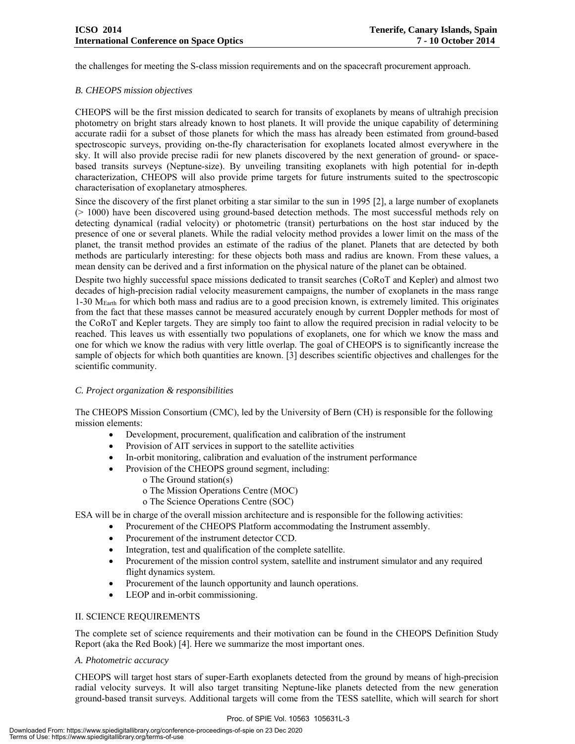the challenges for meeting the S-class mission requirements and on the spacecraft procurement approach.

### *B. CHEOPS mission objectives*

CHEOPS will be the first mission dedicated to search for transits of exoplanets by means of ultrahigh precision photometry on bright stars already known to host planets. It will provide the unique capability of determining accurate radii for a subset of those planets for which the mass has already been estimated from ground-based spectroscopic surveys, providing on-the-fly characterisation for exoplanets located almost everywhere in the sky. It will also provide precise radii for new planets discovered by the next generation of ground- or spacebased transits surveys (Neptune-size). By unveiling transiting exoplanets with high potential for in-depth characterization, CHEOPS will also provide prime targets for future instruments suited to the spectroscopic characterisation of exoplanetary atmospheres.

Since the discovery of the first planet orbiting a star similar to the sun in 1995 [2], a large number of exoplanets (> 1000) have been discovered using ground-based detection methods. The most successful methods rely on detecting dynamical (radial velocity) or photometric (transit) perturbations on the host star induced by the presence of one or several planets. While the radial velocity method provides a lower limit on the mass of the planet, the transit method provides an estimate of the radius of the planet. Planets that are detected by both methods are particularly interesting: for these objects both mass and radius are known. From these values, a mean density can be derived and a first information on the physical nature of the planet can be obtained.

Despite two highly successful space missions dedicated to transit searches (CoRoT and Kepler) and almost two decades of high-precision radial velocity measurement campaigns, the number of exoplanets in the mass range 1-30 MEarth for which both mass and radius are to a good precision known, is extremely limited. This originates from the fact that these masses cannot be measured accurately enough by current Doppler methods for most of the CoRoT and Kepler targets. They are simply too faint to allow the required precision in radial velocity to be reached. This leaves us with essentially two populations of exoplanets, one for which we know the mass and one for which we know the radius with very little overlap. The goal of CHEOPS is to significantly increase the sample of objects for which both quantities are known. [3] describes scientific objectives and challenges for the scientific community.

### *C. Project organization & responsibilities*

The CHEOPS Mission Consortium (CMC), led by the University of Bern (CH) is responsible for the following mission elements:

- Development, procurement, qualification and calibration of the instrument
- Provision of AIT services in support to the satellite activities
- In-orbit monitoring, calibration and evaluation of the instrument performance
- Provision of the CHEOPS ground segment, including:
	- o The Ground station(s)
	- o The Mission Operations Centre (MOC)
	- o The Science Operations Centre (SOC)

ESA will be in charge of the overall mission architecture and is responsible for the following activities:

- Procurement of the CHEOPS Platform accommodating the Instrument assembly.
- Procurement of the instrument detector CCD.
- Integration, test and qualification of the complete satellite.
- Procurement of the mission control system, satellite and instrument simulator and any required flight dynamics system.
- Procurement of the launch opportunity and launch operations.
- LEOP and in-orbit commissioning.

### II. SCIENCE REQUIREMENTS

The complete set of science requirements and their motivation can be found in the CHEOPS Definition Study Report (aka the Red Book) [4]. Here we summarize the most important ones.

### *A. Photometric accuracy*

CHEOPS will target host stars of super-Earth exoplanets detected from the ground by means of high-precision radial velocity surveys. It will also target transiting Neptune-like planets detected from the new generation ground-based transit surveys. Additional targets will come from the TESS satellite, which will search for short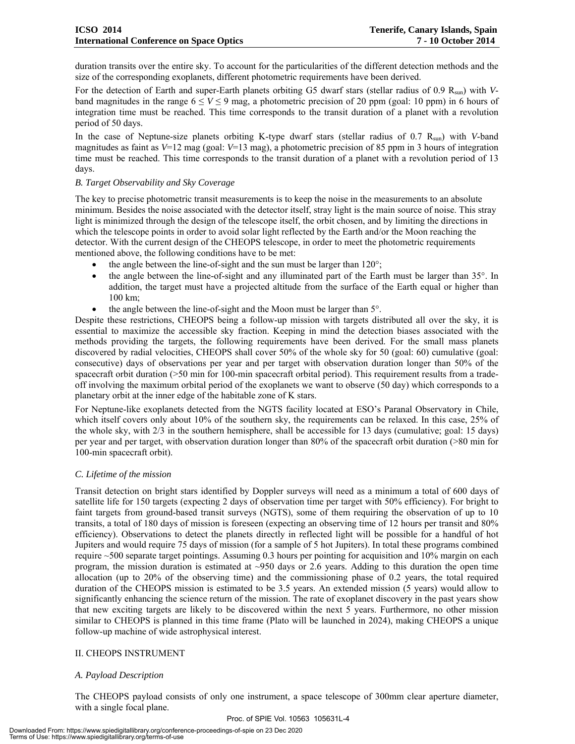duration transits over the entire sky. To account for the particularities of the different detection methods and the size of the corresponding exoplanets, different photometric requirements have been derived.

For the detection of Earth and super-Earth planets orbiting G5 dwarf stars (stellar radius of 0.9 R<sub>sun</sub>) with *V*band magnitudes in the range  $6 \le V \le 9$  mag, a photometric precision of 20 ppm (goal: 10 ppm) in 6 hours of integration time must be reached. This time corresponds to the transit duration of a planet with a revolution period of 50 days.

In the case of Neptune-size planets orbiting K-type dwarf stars (stellar radius of 0.7 Rsun) with *V*-band magnitudes as faint as *V*=12 mag (goal: *V*=13 mag), a photometric precision of 85 ppm in 3 hours of integration time must be reached. This time corresponds to the transit duration of a planet with a revolution period of 13 days.

### *B. Target Observability and Sky Coverage*

The key to precise photometric transit measurements is to keep the noise in the measurements to an absolute minimum. Besides the noise associated with the detector itself, stray light is the main source of noise. This stray light is minimized through the design of the telescope itself, the orbit chosen, and by limiting the directions in which the telescope points in order to avoid solar light reflected by the Earth and/or the Moon reaching the detector. With the current design of the CHEOPS telescope, in order to meet the photometric requirements mentioned above, the following conditions have to be met:

- the angle between the line-of-sight and the sun must be larger than 120°;
- the angle between the line-of-sight and any illuminated part of the Earth must be larger than 35°. In addition, the target must have a projected altitude from the surface of the Earth equal or higher than 100 km;
- the angle between the line-of-sight and the Moon must be larger than 5°.

Despite these restrictions, CHEOPS being a follow-up mission with targets distributed all over the sky, it is essential to maximize the accessible sky fraction. Keeping in mind the detection biases associated with the methods providing the targets, the following requirements have been derived. For the small mass planets discovered by radial velocities, CHEOPS shall cover 50% of the whole sky for 50 (goal: 60) cumulative (goal: consecutive) days of observations per year and per target with observation duration longer than 50% of the spacecraft orbit duration (>50 min for 100-min spacecraft orbital period). This requirement results from a tradeoff involving the maximum orbital period of the exoplanets we want to observe (50 day) which corresponds to a planetary orbit at the inner edge of the habitable zone of K stars.

For Neptune-like exoplanets detected from the NGTS facility located at ESO's Paranal Observatory in Chile, which itself covers only about 10% of the southern sky, the requirements can be relaxed. In this case, 25% of the whole sky, with 2/3 in the southern hemisphere, shall be accessible for 13 days (cumulative; goal: 15 days) per year and per target, with observation duration longer than 80% of the spacecraft orbit duration (>80 min for 100-min spacecraft orbit).

### *C. Lifetime of the mission*

Transit detection on bright stars identified by Doppler surveys will need as a minimum a total of 600 days of satellite life for 150 targets (expecting 2 days of observation time per target with 50% efficiency). For bright to faint targets from ground-based transit surveys (NGTS), some of them requiring the observation of up to 10 transits, a total of 180 days of mission is foreseen (expecting an observing time of 12 hours per transit and 80% efficiency). Observations to detect the planets directly in reflected light will be possible for a handful of hot Jupiters and would require 75 days of mission (for a sample of 5 hot Jupiters). In total these programs combined require ~500 separate target pointings. Assuming 0.3 hours per pointing for acquisition and 10% margin on each program, the mission duration is estimated at  $\sim$ 950 days or 2.6 years. Adding to this duration the open time allocation (up to 20% of the observing time) and the commissioning phase of 0.2 years, the total required duration of the CHEOPS mission is estimated to be 3.5 years. An extended mission (5 years) would allow to significantly enhancing the science return of the mission. The rate of exoplanet discovery in the past years show that new exciting targets are likely to be discovered within the next 5 years. Furthermore, no other mission similar to CHEOPS is planned in this time frame (Plato will be launched in 2024), making CHEOPS a unique follow-up machine of wide astrophysical interest.

### II. CHEOPS INSTRUMENT

### *A. Payload Description*

The CHEOPS payload consists of only one instrument, a space telescope of 300mm clear aperture diameter, with a single focal plane.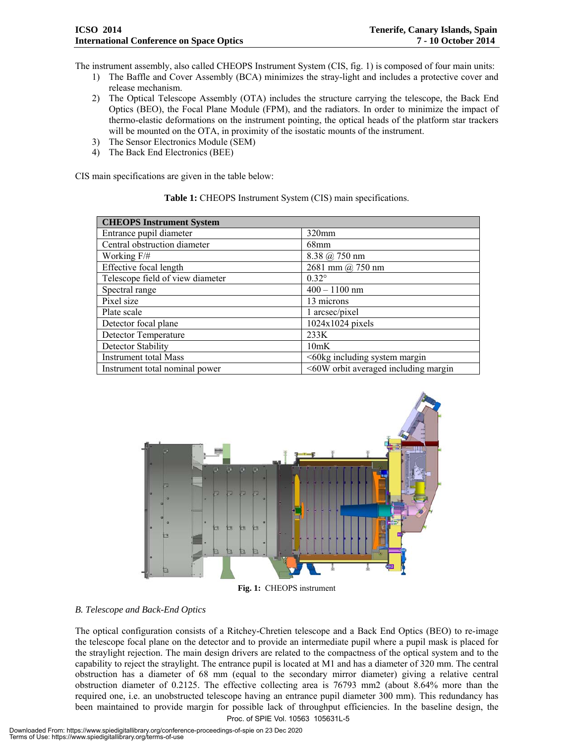The instrument assembly, also called CHEOPS Instrument System (CIS, fig. 1) is composed of four main units:

- 1) The Baffle and Cover Assembly (BCA) minimizes the stray-light and includes a protective cover and release mechanism.
- 2) The Optical Telescope Assembly (OTA) includes the structure carrying the telescope, the Back End Optics (BEO), the Focal Plane Module (FPM), and the radiators. In order to minimize the impact of thermo-elastic deformations on the instrument pointing, the optical heads of the platform star trackers will be mounted on the OTA, in proximity of the isostatic mounts of the instrument.
- 3) The Sensor Electronics Module (SEM)
- 4) The Back End Electronics (BEE)

CIS main specifications are given in the table below:

**Table 1:** CHEOPS Instrument System (CIS) main specifications.

| <b>CHEOPS</b> Instrument System  |                                      |
|----------------------------------|--------------------------------------|
| Entrance pupil diameter          | 320mm                                |
| Central obstruction diameter     | 68 <sub>mm</sub>                     |
| Working F/#                      | $8.38 \; \textcircled{a}$ 750 nm     |
| Effective focal length           | 2681 mm @ 750 nm                     |
| Telescope field of view diameter | $0.32^\circ$                         |
| Spectral range                   | $400 - 1100$ nm                      |
| Pixel size                       | 13 microns                           |
| Plate scale                      | 1 arcsec/pixel                       |
| Detector focal plane             | 1024x1024 pixels                     |
| Detector Temperature             | 233K                                 |
| Detector Stability               | 10mK                                 |
| <b>Instrument total Mass</b>     | <60kg including system margin        |
| Instrument total nominal power   | <60W orbit averaged including margin |



### *B. Telescope and Back-End Optics*

The optical configuration consists of a Ritchey-Chretien telescope and a Back End Optics (BEO) to re-image the telescope focal plane on the detector and to provide an intermediate pupil where a pupil mask is placed for the straylight rejection. The main design drivers are related to the compactness of the optical system and to the capability to reject the straylight. The entrance pupil is located at M1 and has a diameter of 320 mm. The central obstruction has a diameter of 68 mm (equal to the secondary mirror diameter) giving a relative central obstruction diameter of 0.2125. The effective collecting area is 76793 mm2 (about 8.64% more than the required one, i.e. an unobstructed telescope having an entrance pupil diameter 300 mm). This redundancy has been maintained to provide margin for possible lack of throughput efficiencies. In the baseline design, the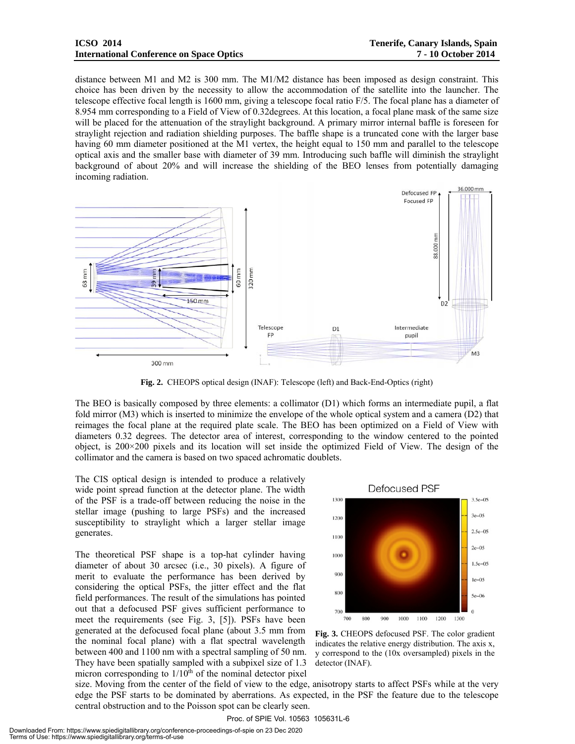distance between M1 and M2 is 300 mm. The M1/M2 distance has been imposed as design constraint. This choice has been driven by the necessity to allow the accommodation of the satellite into the launcher. The telescope effective focal length is 1600 mm, giving a telescope focal ratio F/5. The focal plane has a diameter of 8.954 mm corresponding to a Field of View of 0.32degrees. At this location, a focal plane mask of the same size will be placed for the attenuation of the straylight background. A primary mirror internal baffle is foreseen for straylight rejection and radiation shielding purposes. The baffle shape is a truncated cone with the larger base having 60 mm diameter positioned at the M1 vertex, the height equal to 150 mm and parallel to the telescope optical axis and the smaller base with diameter of 39 mm. Introducing such baffle will diminish the straylight background of about 20% and will increase the shielding of the BEO lenses from potentially damaging incoming radiation.



**Fig. 2.** CHEOPS optical design (INAF): Telescope (left) and Back-End-Optics (right)

The BEO is basically composed by three elements: a collimator (D1) which forms an intermediate pupil, a flat fold mirror (M3) which is inserted to minimize the envelope of the whole optical system and a camera (D2) that reimages the focal plane at the required plate scale. The BEO has been optimized on a Field of View with diameters 0.32 degrees. The detector area of interest, corresponding to the window centered to the pointed object, is 200×200 pixels and its location will set inside the optimized Field of View. The design of the collimator and the camera is based on two spaced achromatic doublets.

The CIS optical design is intended to produce a relatively wide point spread function at the detector plane. The width of the PSF is a trade-off between reducing the noise in the stellar image (pushing to large PSFs) and the increased susceptibility to straylight which a larger stellar image generates.

The theoretical PSF shape is a top-hat cylinder having diameter of about 30 arcsec (i.e., 30 pixels). A figure of merit to evaluate the performance has been derived by considering the optical PSFs, the jitter effect and the flat field performances. The result of the simulations has pointed out that a defocused PSF gives sufficient performance to meet the requirements (see Fig. 3, [5]). PSFs have been generated at the defocused focal plane (about 3.5 mm from the nominal focal plane) with a flat spectral wavelength between 400 and 1100 nm with a spectral sampling of 50 nm. They have been spatially sampled with a subpixel size of 1.3 micron corresponding to  $1/10<sup>th</sup>$  of the nominal detector pixel



**Fig. 3.** CHEOPS defocused PSF. The color gradient indicates the relative energy distribution. The axis x, y correspond to the (10x oversampled) pixels in the detector (INAF).

size. Moving from the center of the field of view to the edge, anisotropy starts to affect PSFs while at the very edge the PSF starts to be dominated by aberrations. As expected, in the PSF the feature due to the telescope central obstruction and to the Poisson spot can be clearly seen.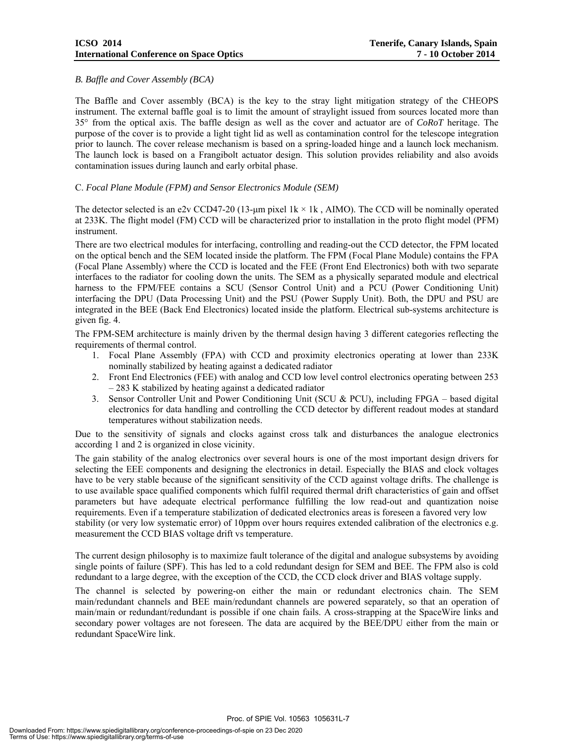*B. Baffle and Cover Assembly (BCA)* 

The Baffle and Cover assembly (BCA) is the key to the stray light mitigation strategy of the CHEOPS instrument. The external baffle goal is to limit the amount of straylight issued from sources located more than 35° from the optical axis. The baffle design as well as the cover and actuator are of *CoRoT* heritage. The purpose of the cover is to provide a light tight lid as well as contamination control for the telescope integration prior to launch. The cover release mechanism is based on a spring-loaded hinge and a launch lock mechanism. The launch lock is based on a Frangibolt actuator design. This solution provides reliability and also avoids contamination issues during launch and early orbital phase.

#### C. *Focal Plane Module (FPM) and Sensor Electronics Module (SEM)*

The detector selected is an e2v CCD47-20 (13-µm pixel  $1k \times 1k$ , AIMO). The CCD will be nominally operated at 233K. The flight model (FM) CCD will be characterized prior to installation in the proto flight model (PFM) instrument.

There are two electrical modules for interfacing, controlling and reading-out the CCD detector, the FPM located on the optical bench and the SEM located inside the platform. The FPM (Focal Plane Module) contains the FPA (Focal Plane Assembly) where the CCD is located and the FEE (Front End Electronics) both with two separate interfaces to the radiator for cooling down the units. The SEM as a physically separated module and electrical harness to the FPM/FEE contains a SCU (Sensor Control Unit) and a PCU (Power Conditioning Unit) interfacing the DPU (Data Processing Unit) and the PSU (Power Supply Unit). Both, the DPU and PSU are integrated in the BEE (Back End Electronics) located inside the platform. Electrical sub-systems architecture is given fig. 4.

The FPM-SEM architecture is mainly driven by the thermal design having 3 different categories reflecting the requirements of thermal control.

- 1. Focal Plane Assembly (FPA) with CCD and proximity electronics operating at lower than 233K nominally stabilized by heating against a dedicated radiator
- 2. Front End Electronics (FEE) with analog and CCD low level control electronics operating between 253 – 283 K stabilized by heating against a dedicated radiator
- 3. Sensor Controller Unit and Power Conditioning Unit (SCU & PCU), including FPGA based digital electronics for data handling and controlling the CCD detector by different readout modes at standard temperatures without stabilization needs.

Due to the sensitivity of signals and clocks against cross talk and disturbances the analogue electronics according 1 and 2 is organized in close vicinity.

The gain stability of the analog electronics over several hours is one of the most important design drivers for selecting the EEE components and designing the electronics in detail. Especially the BIAS and clock voltages have to be very stable because of the significant sensitivity of the CCD against voltage drifts. The challenge is to use available space qualified components which fulfil required thermal drift characteristics of gain and offset parameters but have adequate electrical performance fulfilling the low read-out and quantization noise requirements. Even if a temperature stabilization of dedicated electronics areas is foreseen a favored very low stability (or very low systematic error) of 10ppm over hours requires extended calibration of the electronics e.g. measurement the CCD BIAS voltage drift vs temperature.

The current design philosophy is to maximize fault tolerance of the digital and analogue subsystems by avoiding single points of failure (SPF). This has led to a cold redundant design for SEM and BEE. The FPM also is cold redundant to a large degree, with the exception of the CCD, the CCD clock driver and BIAS voltage supply.

The channel is selected by powering-on either the main or redundant electronics chain. The SEM main/redundant channels and BEE main/redundant channels are powered separately, so that an operation of main/main or redundant/redundant is possible if one chain fails. A cross-strapping at the SpaceWire links and secondary power voltages are not foreseen. The data are acquired by the BEE/DPU either from the main or redundant SpaceWire link.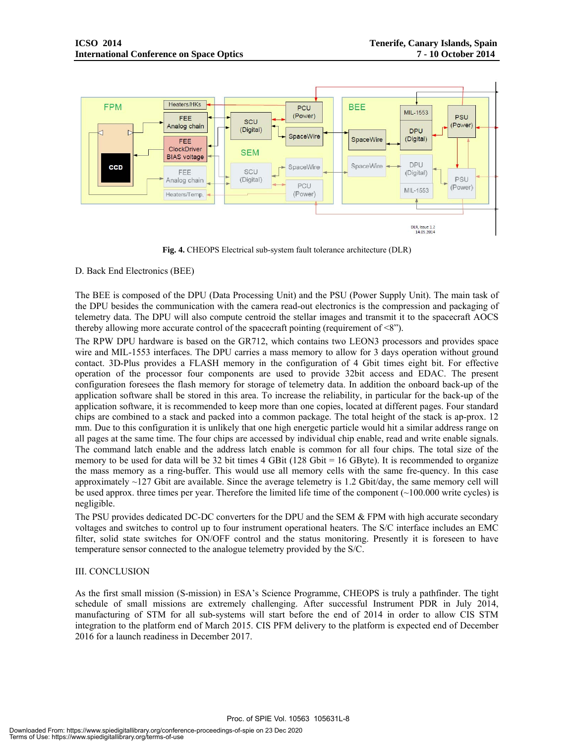

**Fig. 4.** CHEOPS Electrical sub-system fault tolerance architecture (DLR)

### D. Back End Electronics (BEE)

The BEE is composed of the DPU (Data Processing Unit) and the PSU (Power Supply Unit). The main task of the DPU besides the communication with the camera read-out electronics is the compression and packaging of telemetry data. The DPU will also compute centroid the stellar images and transmit it to the spacecraft AOCS thereby allowing more accurate control of the spacecraft pointing (requirement of  $\langle 8 \rangle$ ).

The RPW DPU hardware is based on the GR712, which contains two LEON3 processors and provides space wire and MIL-1553 interfaces. The DPU carries a mass memory to allow for 3 days operation without ground contact. 3D-Plus provides a FLASH memory in the configuration of 4 Gbit times eight bit. For effective operation of the processor four components are used to provide 32bit access and EDAC. The present configuration foresees the flash memory for storage of telemetry data. In addition the onboard back-up of the application software shall be stored in this area. To increase the reliability, in particular for the back-up of the application software, it is recommended to keep more than one copies, located at different pages. Four standard chips are combined to a stack and packed into a common package. The total height of the stack is ap-prox. 12 mm. Due to this configuration it is unlikely that one high energetic particle would hit a similar address range on all pages at the same time. The four chips are accessed by individual chip enable, read and write enable signals. The command latch enable and the address latch enable is common for all four chips. The total size of the memory to be used for data will be 32 bit times 4 GBit (128 Gbit = 16 GByte). It is recommended to organize the mass memory as a ring-buffer. This would use all memory cells with the same fre-quency. In this case approximately ~127 Gbit are available. Since the average telemetry is 1.2 Gbit/day, the same memory cell will be used approx. three times per year. Therefore the limited life time of the component  $(\sim 100.000$  write cycles) is negligible.

The PSU provides dedicated DC-DC converters for the DPU and the SEM & FPM with high accurate secondary voltages and switches to control up to four instrument operational heaters. The S/C interface includes an EMC filter, solid state switches for ON/OFF control and the status monitoring. Presently it is foreseen to have temperature sensor connected to the analogue telemetry provided by the S/C.

### III. CONCLUSION

As the first small mission (S-mission) in ESA's Science Programme, CHEOPS is truly a pathfinder. The tight schedule of small missions are extremely challenging. After successful Instrument PDR in July 2014, manufacturing of STM for all sub-systems will start before the end of 2014 in order to allow CIS STM integration to the platform end of March 2015. CIS PFM delivery to the platform is expected end of December 2016 for a launch readiness in December 2017.